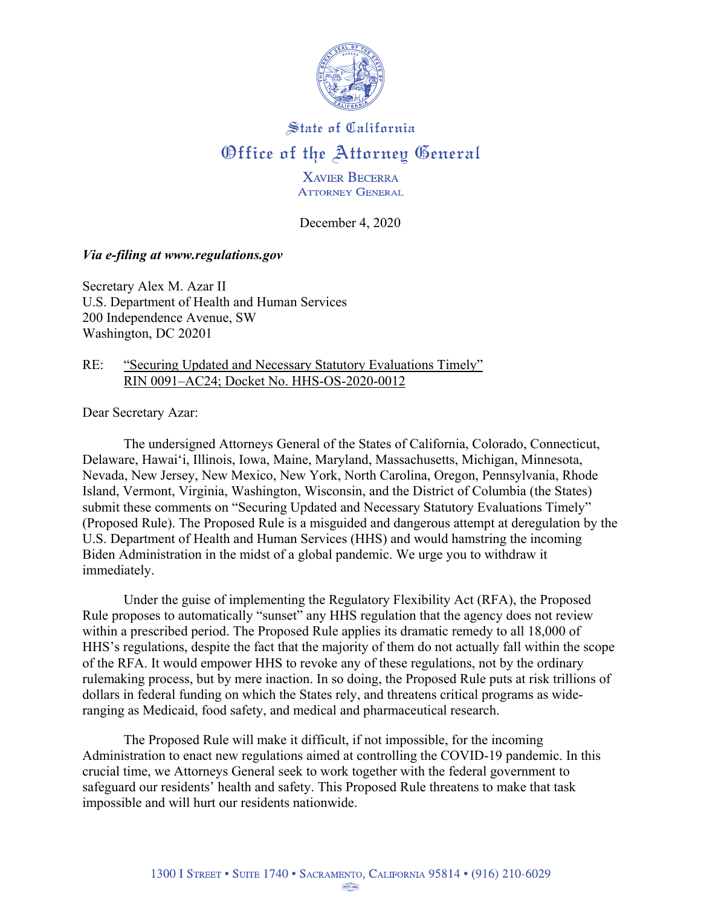

# State of California Office of the Attorney General

**XAVIER BECERRA ATTORNEY GENERAL** 

December 4, 2020

## *Via e-filing at www.regulations.gov*

Secretary Alex M. Azar II U.S. Department of Health and Human Services 200 Independence Avenue, SW Washington, DC 20201

### RE: "Securing Updated and Necessary Statutory Evaluations Timely" RIN 0091–AC24; Docket No. HHS-OS-2020-0012

Dear Secretary Azar:

The undersigned Attorneys General of the States of California, Colorado, Connecticut, Delaware, Hawai'i, Illinois, Iowa, Maine, Maryland, Massachusetts, Michigan, Minnesota, Nevada, New Jersey, New Mexico, New York, North Carolina, Oregon, Pennsylvania, Rhode Island, Vermont, Virginia, Washington, Wisconsin, and the District of Columbia (the States) submit these comments on "Securing Updated and Necessary Statutory Evaluations Timely" (Proposed Rule). The Proposed Rule is a misguided and dangerous attempt at deregulation by the U.S. Department of Health and Human Services (HHS) and would hamstring the incoming Biden Administration in the midst of a global pandemic. We urge you to withdraw it immediately.

Under the guise of implementing the Regulatory Flexibility Act (RFA), the Proposed Rule proposes to automatically "sunset" any HHS regulation that the agency does not review within a prescribed period. The Proposed Rule applies its dramatic remedy to all 18,000 of HHS's regulations, despite the fact that the majority of them do not actually fall within the scope of the RFA. It would empower HHS to revoke any of these regulations, not by the ordinary rulemaking process, but by mere inaction. In so doing, the Proposed Rule puts at risk trillions of dollars in federal funding on which the States rely, and threatens critical programs as wideranging as Medicaid, food safety, and medical and pharmaceutical research.

The Proposed Rule will make it difficult, if not impossible, for the incoming Administration to enact new regulations aimed at controlling the COVID-19 pandemic. In this crucial time, we Attorneys General seek to work together with the federal government to safeguard our residents' health and safety. This Proposed Rule threatens to make that task impossible and will hurt our residents nationwide.

UNON LABEL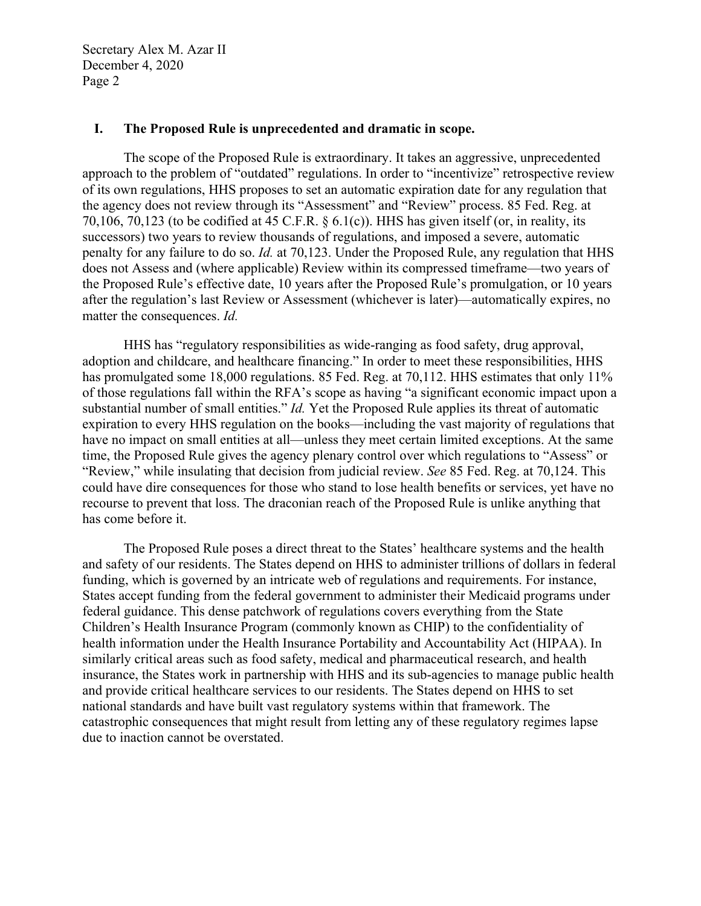#### **I. The Proposed Rule is unprecedented and dramatic in scope.**

The scope of the Proposed Rule is extraordinary. It takes an aggressive, unprecedented approach to the problem of "outdated" regulations. In order to "incentivize" retrospective review of its own regulations, HHS proposes to set an automatic expiration date for any regulation that the agency does not review through its "Assessment" and "Review" process. 85 Fed. Reg. at 70,106, 70,123 (to be codified at 45 C.F.R.  $\S 6.1(c)$ ). HHS has given itself (or, in reality, its successors) two years to review thousands of regulations, and imposed a severe, automatic penalty for any failure to do so. *Id.* at 70,123. Under the Proposed Rule, any regulation that HHS does not Assess and (where applicable) Review within its compressed timeframe—two years of the Proposed Rule's effective date, 10 years after the Proposed Rule's promulgation, or 10 years after the regulation's last Review or Assessment (whichever is later)—automatically expires, no matter the consequences. *Id.* 

HHS has "regulatory responsibilities as wide-ranging as food safety, drug approval, adoption and childcare, and healthcare financing." In order to meet these responsibilities, HHS has promulgated some 18,000 regulations. 85 Fed. Reg. at 70,112. HHS estimates that only 11% of those regulations fall within the RFA's scope as having "a significant economic impact upon a substantial number of small entities." *Id.* Yet the Proposed Rule applies its threat of automatic expiration to every HHS regulation on the books—including the vast majority of regulations that have no impact on small entities at all—unless they meet certain limited exceptions. At the same time, the Proposed Rule gives the agency plenary control over which regulations to "Assess" or "Review," while insulating that decision from judicial review. *See* 85 Fed. Reg. at 70,124. This could have dire consequences for those who stand to lose health benefits or services, yet have no recourse to prevent that loss. The draconian reach of the Proposed Rule is unlike anything that has come before it.

The Proposed Rule poses a direct threat to the States' healthcare systems and the health and safety of our residents. The States depend on HHS to administer trillions of dollars in federal funding, which is governed by an intricate web of regulations and requirements. For instance, States accept funding from the federal government to administer their Medicaid programs under federal guidance. This dense patchwork of regulations covers everything from the State Children's Health Insurance Program (commonly known as CHIP) to the confidentiality of health information under the Health Insurance Portability and Accountability Act (HIPAA). In similarly critical areas such as food safety, medical and pharmaceutical research, and health insurance, the States work in partnership with HHS and its sub-agencies to manage public health and provide critical healthcare services to our residents. The States depend on HHS to set national standards and have built vast regulatory systems within that framework. The catastrophic consequences that might result from letting any of these regulatory regimes lapse due to inaction cannot be overstated.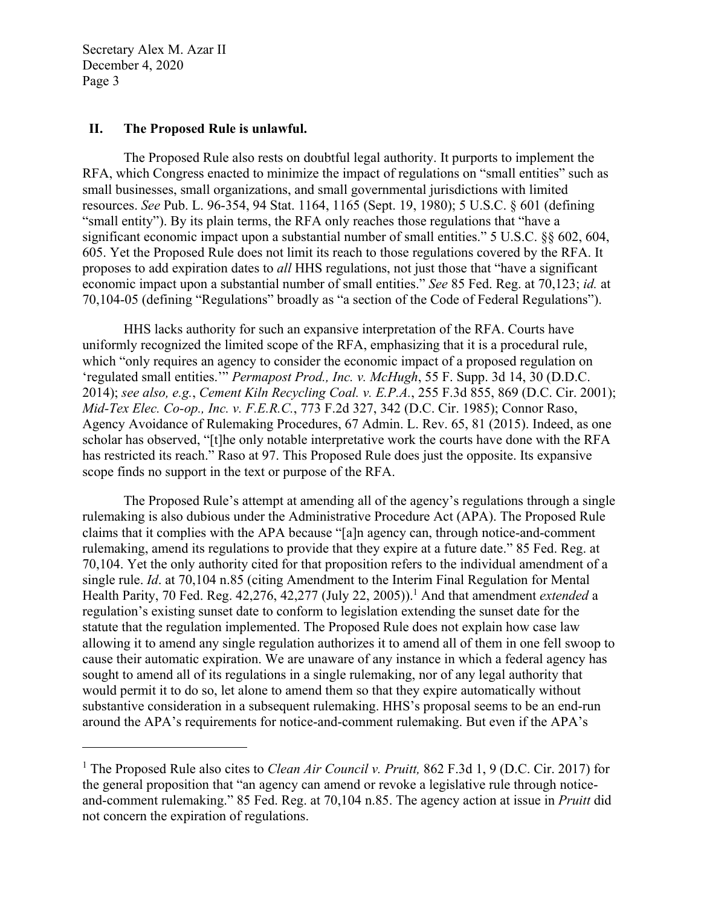$\overline{a}$ 

#### **II. The Proposed Rule is unlawful.**

The Proposed Rule also rests on doubtful legal authority. It purports to implement the RFA, which Congress enacted to minimize the impact of regulations on "small entities" such as small businesses, small organizations, and small governmental jurisdictions with limited resources. *See* Pub. L. 96-354, 94 Stat. 1164, 1165 (Sept. 19, 1980); 5 U.S.C. § 601 (defining "small entity"). By its plain terms, the RFA only reaches those regulations that "have a significant economic impact upon a substantial number of small entities." 5 U.S.C. §§ 602, 604, 605. Yet the Proposed Rule does not limit its reach to those regulations covered by the RFA. It proposes to add expiration dates to *all* HHS regulations, not just those that "have a significant economic impact upon a substantial number of small entities." *See* 85 Fed. Reg. at 70,123; *id.* at 70,104-05 (defining "Regulations" broadly as "a section of the Code of Federal Regulations").

HHS lacks authority for such an expansive interpretation of the RFA. Courts have uniformly recognized the limited scope of the RFA, emphasizing that it is a procedural rule, which "only requires an agency to consider the economic impact of a proposed regulation on 'regulated small entities.'" *Permapost Prod., Inc. v. McHugh*, 55 F. Supp. 3d 14, 30 (D.D.C. 2014); *see also, e.g.*, *Cement Kiln Recycling Coal. v. E.P.A.*, 255 F.3d 855, 869 (D.C. Cir. 2001); *Mid-Tex Elec. Co-op., Inc. v. F.E.R.C.*, 773 F.2d 327, 342 (D.C. Cir. 1985); Connor Raso, Agency Avoidance of Rulemaking Procedures, 67 Admin. L. Rev. 65, 81 (2015). Indeed, as one scholar has observed, "[t]he only notable interpretative work the courts have done with the RFA has restricted its reach." Raso at 97. This Proposed Rule does just the opposite. Its expansive scope finds no support in the text or purpose of the RFA.

The Proposed Rule's attempt at amending all of the agency's regulations through a single rulemaking is also dubious under the Administrative Procedure Act (APA). The Proposed Rule claims that it complies with the APA because "[a]n agency can, through notice-and-comment rulemaking, amend its regulations to provide that they expire at a future date." 85 Fed. Reg. at 70,104. Yet the only authority cited for that proposition refers to the individual amendment of a single rule. *Id*. at 70,104 n.85 (citing Amendment to the Interim Final Regulation for Mental Health Parity, 70 Fed. Reg. 42,276, 42,277 (July 22, 2005)).<sup>1</sup> And that amendment *extended* a regulation's existing sunset date to conform to legislation extending the sunset date for the statute that the regulation implemented. The Proposed Rule does not explain how case law allowing it to amend any single regulation authorizes it to amend all of them in one fell swoop to cause their automatic expiration. We are unaware of any instance in which a federal agency has sought to amend all of its regulations in a single rulemaking, nor of any legal authority that would permit it to do so, let alone to amend them so that they expire automatically without substantive consideration in a subsequent rulemaking. HHS's proposal seems to be an end-run around the APA's requirements for notice-and-comment rulemaking. But even if the APA's

<sup>&</sup>lt;sup>1</sup> The Proposed Rule also cites to *Clean Air Council v. Pruitt*, 862 F.3d 1, 9 (D.C. Cir. 2017) for the general proposition that "an agency can amend or revoke a legislative rule through noticeand-comment rulemaking." 85 Fed. Reg. at 70,104 n.85. The agency action at issue in *Pruitt* did not concern the expiration of regulations.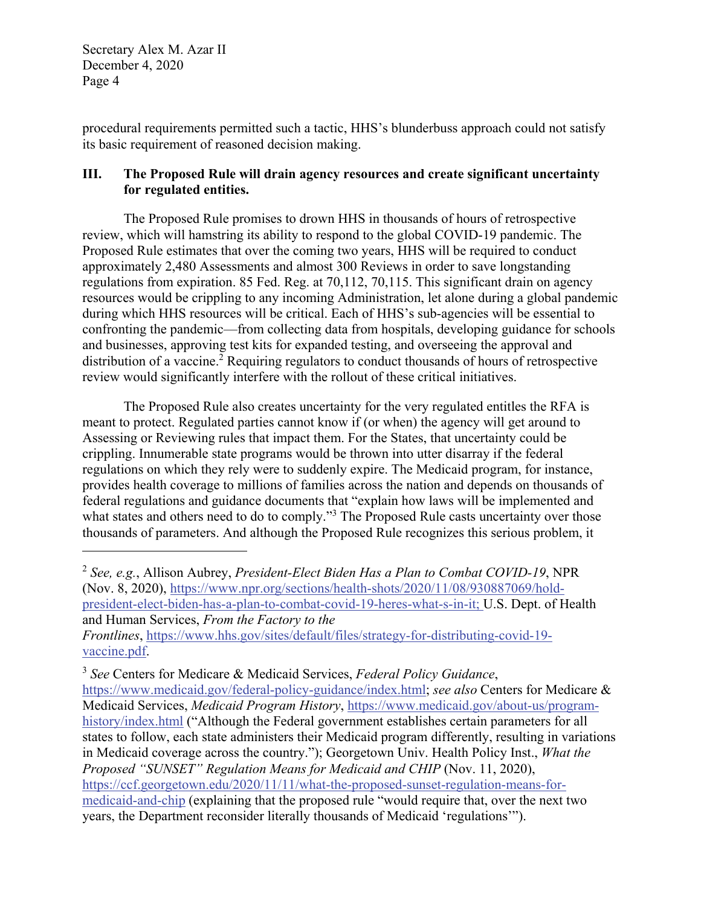$\overline{a}$ 

procedural requirements permitted such a tactic, HHS's blunderbuss approach could not satisfy its basic requirement of reasoned decision making.

## **III. The Proposed Rule will drain agency resources and create significant uncertainty for regulated entities.**

The Proposed Rule promises to drown HHS in thousands of hours of retrospective review, which will hamstring its ability to respond to the global COVID-19 pandemic. The Proposed Rule estimates that over the coming two years, HHS will be required to conduct approximately 2,480 Assessments and almost 300 Reviews in order to save longstanding regulations from expiration. 85 Fed. Reg. at 70,112, 70,115. This significant drain on agency resources would be crippling to any incoming Administration, let alone during a global pandemic during which HHS resources will be critical. Each of HHS's sub-agencies will be essential to confronting the pandemic—from collecting data from hospitals, developing guidance for schools and businesses, approving test kits for expanded testing, and overseeing the approval and distribution of a vaccine.<sup>2</sup> Requiring regulators to conduct thousands of hours of retrospective review would significantly interfere with the rollout of these critical initiatives.

The Proposed Rule also creates uncertainty for the very regulated entitles the RFA is meant to protect. Regulated parties cannot know if (or when) the agency will get around to Assessing or Reviewing rules that impact them. For the States, that uncertainty could be crippling. Innumerable state programs would be thrown into utter disarray if the federal regulations on which they rely were to suddenly expire. The Medicaid program, for instance, provides health coverage to millions of families across the nation and depends on thousands of federal regulations and guidance documents that "explain how laws will be implemented and what states and others need to do to comply."<sup>3</sup> The Proposed Rule casts uncertainty over those thousands of parameters. And although the Proposed Rule recognizes this serious problem, it

<sup>3</sup> *See* Centers for Medicare & Medicaid Services, *Federal Policy Guidance*,

https://www.medicaid.gov/federal-policy-guidance/index.html; *see also* Centers for Medicare & Medicaid Services, *Medicaid Program History*, https://www.medicaid.gov/about-us/programhistory/index.html ("Although the Federal government establishes certain parameters for all states to follow, each state administers their Medicaid program differently, resulting in variations in Medicaid coverage across the country."); Georgetown Univ. Health Policy Inst., *What the Proposed "SUNSET" Regulation Means for Medicaid and CHIP* (Nov. 11, 2020), https://ccf.georgetown.edu/2020/11/11/what-the-proposed-sunset-regulation-means-formedicaid-and-chip (explaining that the proposed rule "would require that, over the next two years, the Department reconsider literally thousands of Medicaid 'regulations'").

<sup>2</sup> *See, e.g.*, Allison Aubrey, *President-Elect Biden Has a Plan to Combat COVID-19*, NPR (Nov. 8, 2020), https://www.npr.org/sections/health-shots/2020/11/08/930887069/holdpresident-elect-biden-has-a-plan-to-combat-covid-19-heres-what-s-in-it; U.S. Dept. of Health and Human Services, *From the Factory to the Frontlines*, https://www.hhs.gov/sites/default/files/strategy-for-distributing-covid-19 vaccine.pdf.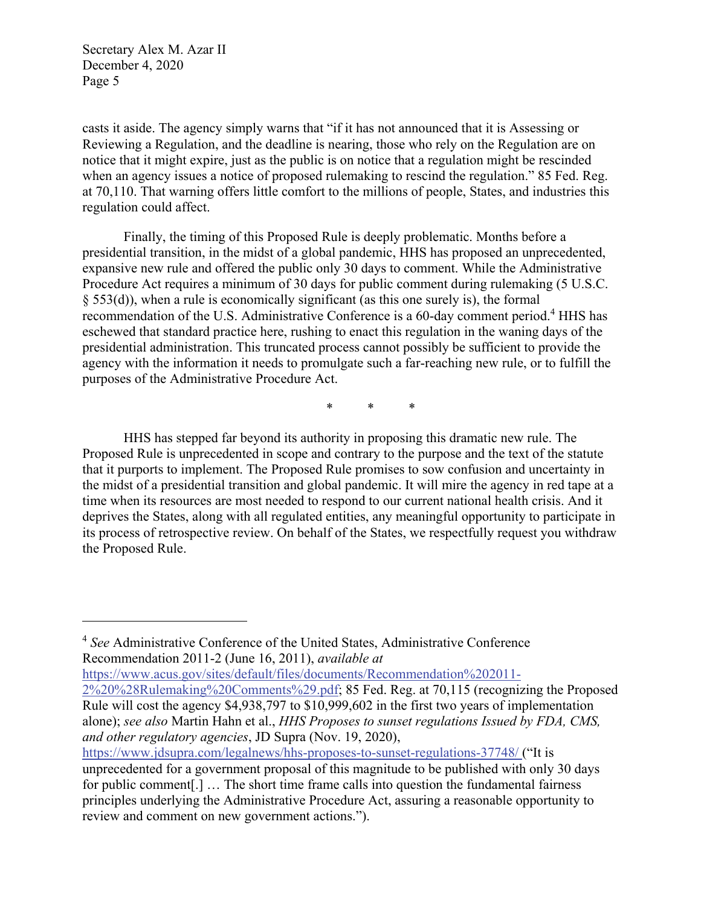$\overline{a}$ 

casts it aside. The agency simply warns that "if it has not announced that it is Assessing or Reviewing a Regulation, and the deadline is nearing, those who rely on the Regulation are on notice that it might expire, just as the public is on notice that a regulation might be rescinded when an agency issues a notice of proposed rulemaking to rescind the regulation." 85 Fed. Reg. at 70,110. That warning offers little comfort to the millions of people, States, and industries this regulation could affect.

Finally, the timing of this Proposed Rule is deeply problematic. Months before a presidential transition, in the midst of a global pandemic, HHS has proposed an unprecedented, expansive new rule and offered the public only 30 days to comment. While the Administrative Procedure Act requires a minimum of 30 days for public comment during rulemaking (5 U.S.C. § 553(d)), when a rule is economically significant (as this one surely is), the formal recommendation of the U.S. Administrative Conference is a 60-day comment period.<sup>4</sup> HHS has eschewed that standard practice here, rushing to enact this regulation in the waning days of the presidential administration. This truncated process cannot possibly be sufficient to provide the agency with the information it needs to promulgate such a far-reaching new rule, or to fulfill the purposes of the Administrative Procedure Act.

\* \* \*

HHS has stepped far beyond its authority in proposing this dramatic new rule. The Proposed Rule is unprecedented in scope and contrary to the purpose and the text of the statute that it purports to implement. The Proposed Rule promises to sow confusion and uncertainty in the midst of a presidential transition and global pandemic. It will mire the agency in red tape at a time when its resources are most needed to respond to our current national health crisis. And it deprives the States, along with all regulated entities, any meaningful opportunity to participate in its process of retrospective review. On behalf of the States, we respectfully request you withdraw the Proposed Rule.

<sup>4</sup> *See* Administrative Conference of the United States, Administrative Conference Recommendation 2011-2 (June 16, 2011), *available at*

https://www.acus.gov/sites/default/files/documents/Recommendation%202011-

<sup>2%20%28</sup>Rulemaking%20Comments%29.pdf; 85 Fed. Reg. at 70,115 (recognizing the Proposed Rule will cost the agency \$4,938,797 to \$10,999,602 in the first two years of implementation alone); *see also* Martin Hahn et al., *HHS Proposes to sunset regulations Issued by FDA, CMS, and other regulatory agencies*, JD Supra (Nov. 19, 2020),

https://www.jdsupra.com/legalnews/hhs-proposes-to-sunset-regulations-37748/ ("It is unprecedented for a government proposal of this magnitude to be published with only 30 days for public comment[.] … The short time frame calls into question the fundamental fairness principles underlying the Administrative Procedure Act, assuring a reasonable opportunity to review and comment on new government actions.").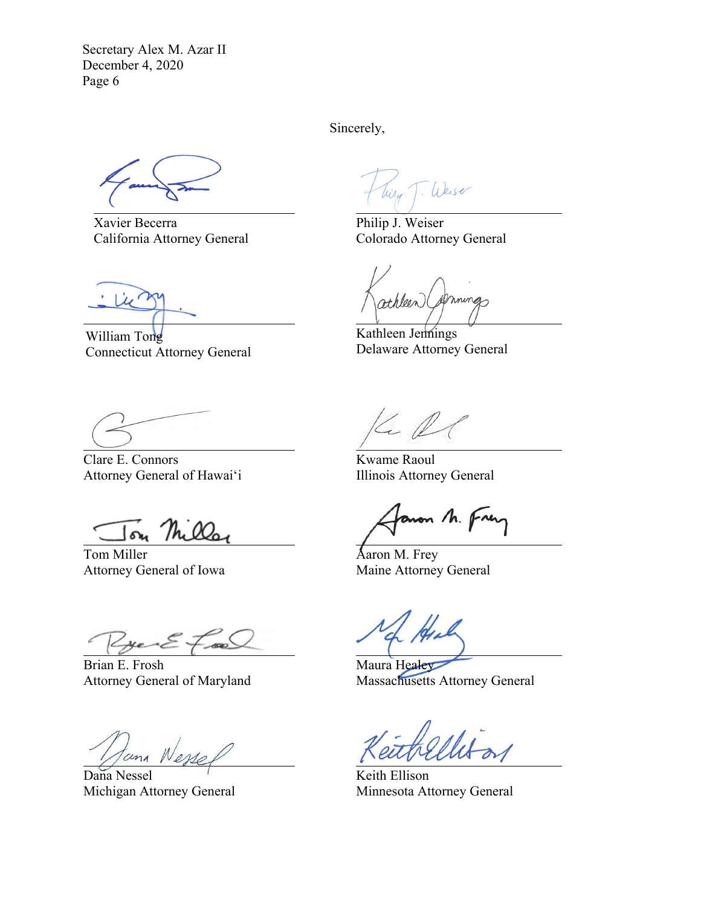Xavier Becerra California Attorney General

William Tong Connecticut Attorney General

Sincerely,

Weise Wilw

Philip J. Weiser Colorado Attorney General

athleen (

Kathleen Jennings Delaware Attorney General

Clare E. Connors Attorney General of Hawai'i

The 00<sub>0</sub>

Tom Miller Attorney General of Iowa

 $*F$ 

Brian E. Frosh Attorney General of Maryland

Dana Nessel Michigan Attorney General

Le N

Kwame Raoul Illinois Attorney General

anon M. Frey

Aaron M. Frey Maine Attorney General

Maura Healey Massachusetts Attorney General

Keith Ellison Minnesota Attorney General